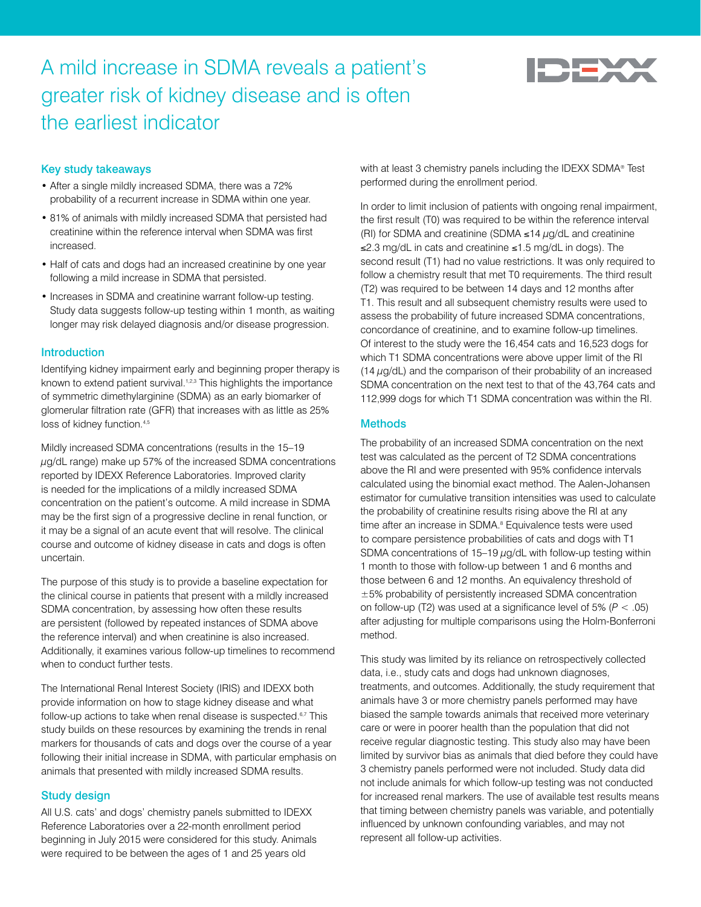# A mild increase in SDMA reveals a patient's greater risk of kidney disease and is often the earliest indicator



## Key study takeaways

- After a single mildly increased SDMA, there was a 72% probability of a recurrent increase in SDMA within one year.
- 81% of animals with mildly increased SDMA that persisted had creatinine within the reference interval when SDMA was first increased.
- Half of cats and dogs had an increased creatinine by one year following a mild increase in SDMA that persisted.
- Increases in SDMA and creatinine warrant follow-up testing. Study data suggests follow-up testing within 1 month, as waiting longer may risk delayed diagnosis and/or disease progression.

## Introduction

Identifying kidney impairment early and beginning proper therapy is known to extend patient survival.<sup>1,2,3</sup> This highlights the importance of symmetric dimethylarginine (SDMA) as an early biomarker of glomerular filtration rate (GFR) that increases with as little as 25% loss of kidney function.<sup>4,5</sup>

Mildly increased SDMA concentrations (results in the 15–19  $\mu$ g/dL range) make up 57% of the increased SDMA concentrations reported by IDEXX Reference Laboratories. Improved clarity is needed for the implications of a mildly increased SDMA concentration on the patient's outcome. A mild increase in SDMA may be the first sign of a progressive decline in renal function, or it may be a signal of an acute event that will resolve. The clinical course and outcome of kidney disease in cats and dogs is often uncertain.

The purpose of this study is to provide a baseline expectation for the clinical course in patients that present with a mildly increased SDMA concentration, by assessing how often these results are persistent (followed by repeated instances of SDMA above the reference interval) and when creatinine is also increased. Additionally, it examines various follow-up timelines to recommend when to conduct further tests.

The International Renal Interest Society (IRIS) and IDEXX both provide information on how to stage kidney disease and what follow-up actions to take when renal disease is suspected.<sup>6,7</sup> This study builds on these resources by examining the trends in renal markers for thousands of cats and dogs over the course of a year following their initial increase in SDMA, with particular emphasis on animals that presented with mildly increased SDMA results.

## Study design

All U.S. cats' and dogs' chemistry panels submitted to IDEXX Reference Laboratories over a 22-month enrollment period beginning in July 2015 were considered for this study. Animals were required to be between the ages of 1 and 25 years old

with at least 3 chemistry panels including the IDEXX SDMA® Test performed during the enrollment period.

In order to limit inclusion of patients with ongoing renal impairment, the first result (T0) was required to be within the reference interval (RI) for SDMA and creatinine (SDMA ≤14  $\mu$ g/dL and creatinine ≤2.3 mg/dL in cats and creatinine ≤1.5 mg/dL in dogs). The second result (T1) had no value restrictions. It was only required to follow a chemistry result that met T0 requirements. The third result (T2) was required to be between 14 days and 12 months after T1. This result and all subsequent chemistry results were used to assess the probability of future increased SDMA concentrations, concordance of creatinine, and to examine follow-up timelines. Of interest to the study were the 16,454 cats and 16,523 dogs for which T1 SDMA concentrations were above upper limit of the RI  $(14 \mu g/dL)$  and the comparison of their probability of an increased SDMA concentration on the next test to that of the 43,764 cats and 112,999 dogs for which T1 SDMA concentration was within the RI.

# **Methods**

The probability of an increased SDMA concentration on the next test was calculated as the percent of T2 SDMA concentrations above the RI and were presented with 95% confidence intervals calculated using the binomial exact method. The Aalen-Johansen estimator for cumulative transition intensities was used to calculate the probability of creatinine results rising above the RI at any time after an increase in SDMA.<sup>8</sup> Equivalence tests were used to compare persistence probabilities of cats and dogs with T1 SDMA concentrations of  $15-19 \mu g/dL$  with follow-up testing within 1 month to those with follow-up between 1 and 6 months and those between 6 and 12 months. An equivalency threshold of ±5% probability of persistently increased SDMA concentration on follow-up (T2) was used at a significance level of 5% (*P* < .05) after adjusting for multiple comparisons using the Holm-Bonferroni method.

This study was limited by its reliance on retrospectively collected data, i.e., study cats and dogs had unknown diagnoses, treatments, and outcomes. Additionally, the study requirement that animals have 3 or more chemistry panels performed may have biased the sample towards animals that received more veterinary care or were in poorer health than the population that did not receive regular diagnostic testing. This study also may have been limited by survivor bias as animals that died before they could have 3 chemistry panels performed were not included. Study data did not include animals for which follow-up testing was not conducted for increased renal markers. The use of available test results means that timing between chemistry panels was variable, and potentially influenced by unknown confounding variables, and may not represent all follow-up activities.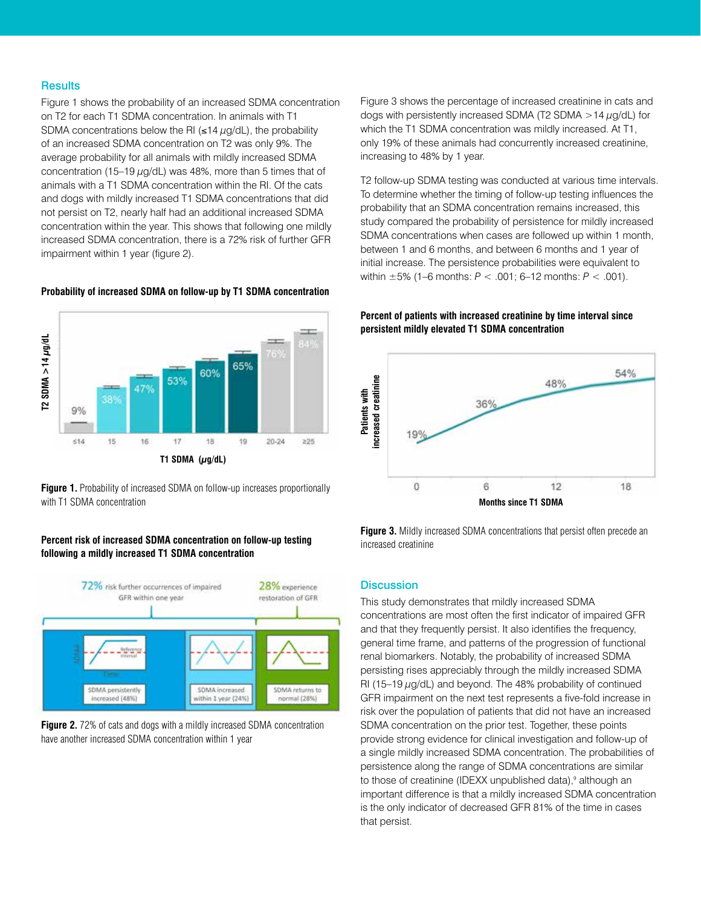#### **Results**

Figure 1 shows the probability of an increased SDMA concentration on T2 for each T1 SDMA concentration. In animals with T1 SDMA concentrations below the RI ( $\leq$ 14  $\mu$ g/dL), the probability of an increased SDMA concentration on T2 was only 9%. The average probability for all animals with mildly increased SDMA concentration (15–19  $\mu$ g/dL) was 48%, more than 5 times that of animals with a T1 SDMA concentration within the RI. Of the cats and dogs with mildly increased T1 SDMA concentrations that did not persist on T2, nearly half had an additional increased SDMA concentration within the year. This shows that following one mildly increased SDMA concentration, there is a 72% risk of further GFR impairment within 1 year (figure 2).

#### **Probability of increased SDMA on follow-up by T1 SDMA concentration**



**Figure 1.** Probability of increased SDMA on follow-up increases proportionally with T1 SDMA concentration

# **Percent risk of increased SDMA concentration on follow-up testing**



**Figure 2.** 72% of cats and dogs with a mildly increased SDMA concentration have another increased SDMA concentration within 1 year

Figure 3 shows the percentage of increased creatinine in cats and dogs with persistently increased SDMA (T2 SDMA  $>$  14  $\mu$ g/dL) for which the T1 SDMA concentration was mildly increased. At T1, only 19% of these animals had concurrently increased creatinine, increasing to 48% by 1 year.

T2 follow-up SDMA testing was conducted at various time intervals. To determine whether the timing of follow-up testing influences the probability that an SDMA concentration remains increased, this study compared the probability of persistence for mildly increased SDMA concentrations when cases are followed up within 1 month, between 1 and 6 months, and between 6 months and 1 year of initial increase. The persistence probabilities were equivalent to within ±5% (1–6 months: *P* < .001; 6–12 months: *P* < .001).

## **Percent of patients with increased creatinine by time interval since persistent mildly elevated T1 SDMA concentration**



**Figure 3.** Mildly increased SDMA concentrations that persist often precede an increased creatinine

## **Discussion**

This study demonstrates that mildly increased SDMA concentrations are most often the first indicator of impaired GFR and that they frequently persist. It also identifies the frequency, general time frame, and patterns of the progression of functional renal biomarkers. Notably, the probability of increased SDMA persisting rises appreciably through the mildly increased SDMA RI (15-19  $\mu$ g/dL) and beyond. The 48% probability of continued GFR impairment on the next test represents a five-fold increase in risk over the population of patients that did not have an increased SDMA concentration on the prior test. Together, these points provide strong evidence for clinical investigation and follow-up of a single mildly increased SDMA concentration. The probabilities of persistence along the range of SDMA concentrations are similar to those of creatinine (IDEXX unpublished data),<sup>9</sup> although an important difference is that a mildly increased SDMA concentration is the only indicator of decreased GFR 81% of the time in cases that persist.